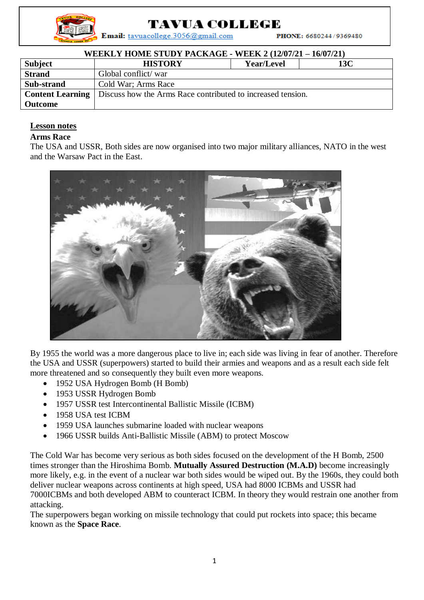

## TAVUA COLLEGE

Email: tavuacollege.3056@gmail.com

PHONE: 6680244/9369480

| <b>WEEKLY HOME STUDY PACKAGE - WEEK 2 (12/07/21 – 16/07/21)</b> |                                                             |                   |     |  |
|-----------------------------------------------------------------|-------------------------------------------------------------|-------------------|-----|--|
| Subject                                                         | <b>HISTORY</b>                                              | <b>Year/Level</b> | 13C |  |
| <b>Strand</b>                                                   | Global conflict/war                                         |                   |     |  |
| Sub-strand                                                      | Cold War; Arms Race                                         |                   |     |  |
| <b>Content Learning</b>                                         | Discuss how the Arms Race contributed to increased tension. |                   |     |  |
| <b>Outcome</b>                                                  |                                                             |                   |     |  |

## **Lesson notes**

## **Arms Race**

The USA and USSR, Both sides are now organised into two major military alliances, NATO in the west and the Warsaw Pact in the East.



By 1955 the world was a more dangerous place to live in; each side was living in fear of another. Therefore the USA and USSR (superpowers) started to build their armies and weapons and as a result each side felt more threatened and so consequently they built even more weapons.

- 1952 USA Hydrogen Bomb (H Bomb)
- 1953 USSR Hydrogen Bomb
- 1957 USSR test Intercontinental Ballistic Missile (ICBM)
- 1958 USA test ICBM
- 1959 USA launches submarine loaded with nuclear weapons
- 1966 USSR builds Anti-Ballistic Missile (ABM) to protect Moscow

The Cold War has become very serious as both sides focused on the development of the H Bomb, 2500 times stronger than the Hiroshima Bomb. **Mutually Assured Destruction (M.A.D)** become increasingly more likely, e.g. in the event of a nuclear war both sides would be wiped out. By the 1960s, they could both deliver nuclear weapons across continents at high speed, USA had 8000 ICBMs and USSR had 7000ICBMs and both developed ABM to counteract ICBM. In theory they would restrain one another from attacking.

The superpowers began working on missile technology that could put rockets into space; this became known as the **Space Race**.